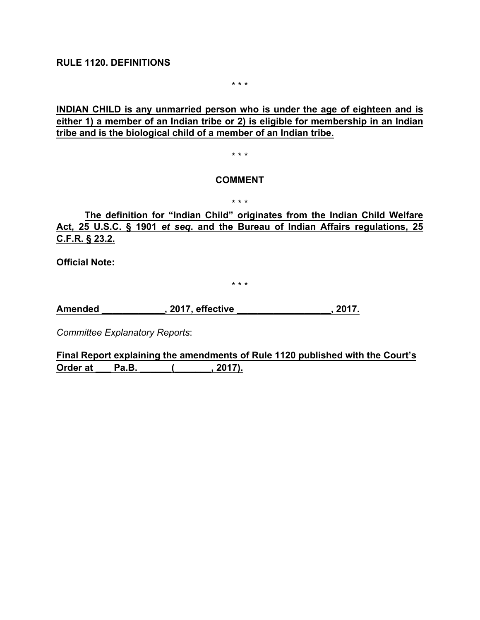**RULE 1120. DEFINITIONS**

\* \* \*

**INDIAN CHILD is any unmarried person who is under the age of eighteen and is either 1) a member of an Indian tribe or 2) is eligible for membership in an Indian tribe and is the biological child of a member of an Indian tribe.**

\* \* \*

#### **COMMENT**

\* \* \*

**The definition for "Indian Child" originates from the Indian Child Welfare Act, 25 U.S.C. § 1901** *et seq***. and the Bureau of Indian Affairs regulations, 25 C.F.R. § 23.2.**

**Official Note:** 

\* \* \*

**Amended \_\_\_\_\_\_\_\_\_\_\_\_, 2017, effective \_\_\_\_\_\_\_\_\_\_\_\_\_\_\_\_\_\_, 2017.**

*Committee Explanatory Reports*:

**Final Report explaining the amendments of Rule 1120 published with the Court's Order at Pa.B.** (, 2017).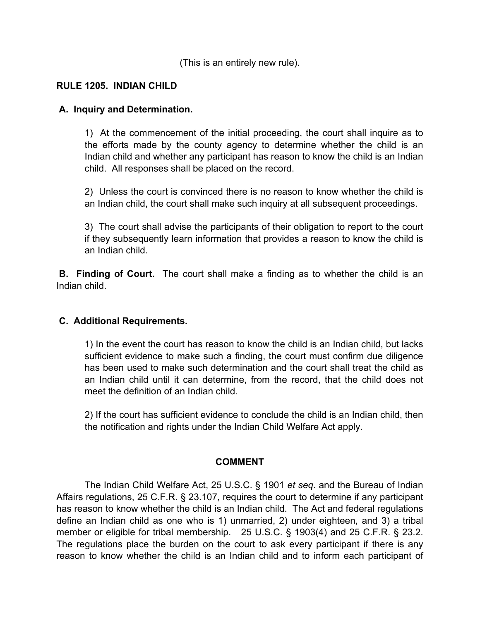(This is an entirely new rule).

## **RULE 1205. INDIAN CHILD**

### **A. Inquiry and Determination.**

1) At the commencement of the initial proceeding, the court shall inquire as to the efforts made by the county agency to determine whether the child is an Indian child and whether any participant has reason to know the child is an Indian child. All responses shall be placed on the record.

2) Unless the court is convinced there is no reason to know whether the child is an Indian child, the court shall make such inquiry at all subsequent proceedings.

3) The court shall advise the participants of their obligation to report to the court if they subsequently learn information that provides a reason to know the child is an Indian child.

**B. Finding of Court.** The court shall make a finding as to whether the child is an Indian child.

### **C. Additional Requirements.**

1) In the event the court has reason to know the child is an Indian child, but lacks sufficient evidence to make such a finding, the court must confirm due diligence has been used to make such determination and the court shall treat the child as an Indian child until it can determine, from the record, that the child does not meet the definition of an Indian child.

2) If the court has sufficient evidence to conclude the child is an Indian child, then the notification and rights under the Indian Child Welfare Act apply.

## **COMMENT**

The Indian Child Welfare Act, 25 U.S.C. § 1901 *et seq*. and the Bureau of Indian Affairs regulations, 25 C.F.R. § 23.107, requires the court to determine if any participant has reason to know whether the child is an Indian child. The Act and federal regulations define an Indian child as one who is 1) unmarried, 2) under eighteen, and 3) a tribal member or eligible for tribal membership. 25 U.S.C. § 1903(4) and 25 C.F.R. § 23.2. The regulations place the burden on the court to ask every participant if there is any reason to know whether the child is an Indian child and to inform each participant of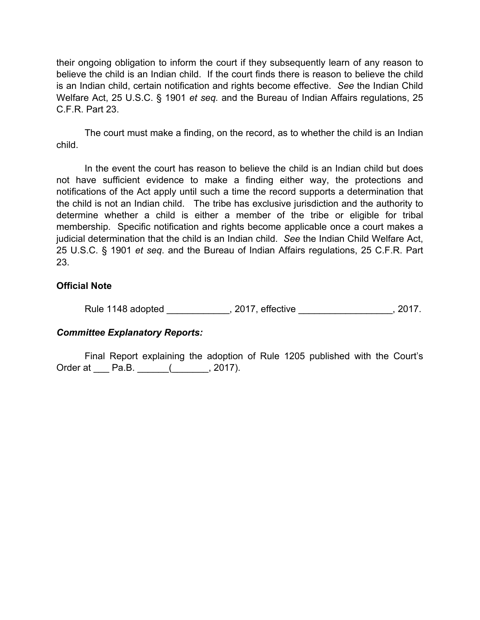their ongoing obligation to inform the court if they subsequently learn of any reason to believe the child is an Indian child. If the court finds there is reason to believe the child is an Indian child, certain notification and rights become effective. *See* the Indian Child Welfare Act, 25 U.S.C. § 1901 *et seq.* and the Bureau of Indian Affairs regulations, 25 C.F.R. Part 23.

The court must make a finding, on the record, as to whether the child is an Indian child.

In the event the court has reason to believe the child is an Indian child but does not have sufficient evidence to make a finding either way, the protections and notifications of the Act apply until such a time the record supports a determination that the child is not an Indian child. The tribe has exclusive jurisdiction and the authority to determine whether a child is either a member of the tribe or eligible for tribal membership. Specific notification and rights become applicable once a court makes a judicial determination that the child is an Indian child. *See* the Indian Child Welfare Act, 25 U.S.C. § 1901 *et seq*. and the Bureau of Indian Affairs regulations, 25 C.F.R. Part 23.

### **Official Note**

Rule 1148 adopted \_\_\_\_\_\_\_\_\_\_\_\_, 2017, effective \_\_\_\_\_\_\_\_\_\_\_\_\_\_\_\_\_\_\_, 2017.

## *Committee Explanatory Reports:*

Final Report explaining the adoption of Rule 1205 published with the Court's Order at \_\_\_ Pa.B. \_\_\_\_\_(\_\_\_\_\_\_, 2017).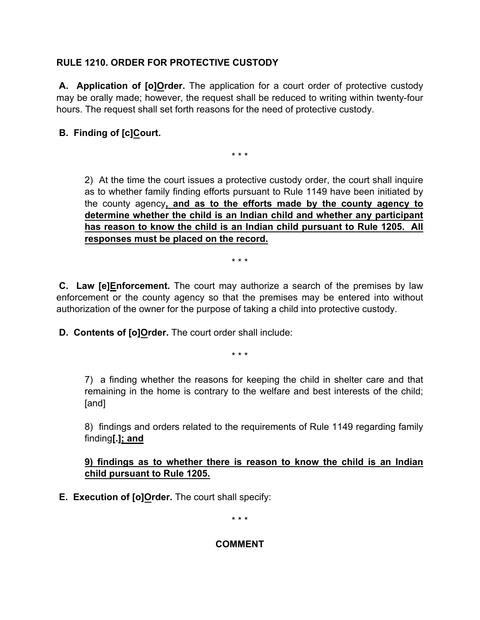# **RULE 1210. ORDER FOR PROTECTIVE CUSTODY**

**A. Application of [o]Order.** The application for a court order of protective custody may be orally made; however, the request shall be reduced to writing within twenty-four hours. The request shall set forth reasons for the need of protective custody.

# **B. Finding of [c]Court.**

\* \* \*

 2) At the time the court issues a protective custody order, the court shall inquire as to whether family finding efforts pursuant to Rule 1149 have been initiated by the county agency**, and as to the efforts made by the county agency to determine whether the child is an Indian child and whether any participant has reason to know the child is an Indian child pursuant to Rule 1205. All responses must be placed on the record.**

\* \* \*

**C. Law [e]Enforcement.** The court may authorize a search of the premises by law enforcement or the county agency so that the premises may be entered into without authorization of the owner for the purpose of taking a child into protective custody.

**D. Contents of [o]Order.** The court order shall include:

\* \* \*

 7) a finding whether the reasons for keeping the child in shelter care and that remaining in the home is contrary to the welfare and best interests of the child; [and]

 8) findings and orders related to the requirements of Rule 1149 regarding family finding**[.]; and**

## **9) findings as to whether there is reason to know the child is an Indian child pursuant to Rule 1205.**

**E. Execution of [o]Order.** The court shall specify:

\* \* \*

## **COMMENT**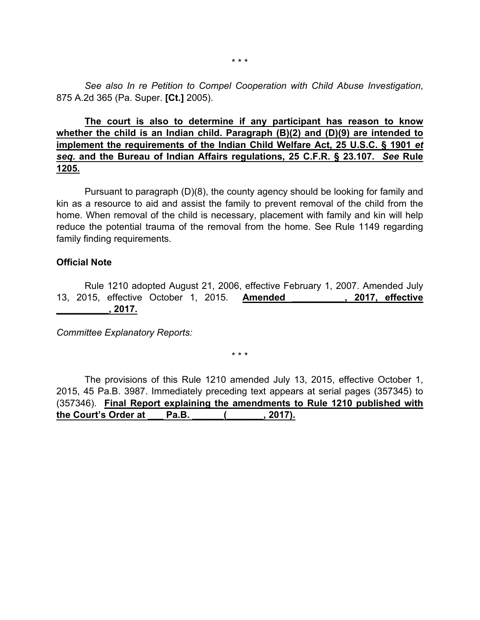*See also In re Petition to Compel Cooperation with Child Abuse Investigation*, 875 A.2d 365 (Pa. Super. **[Ct.]** 2005).

## **The court is also to determine if any participant has reason to know whether the child is an Indian child. Paragraph (B)(2) and (D)(9) are intended to implement the requirements of the Indian Child Welfare Act, 25 U.S.C. § 1901** *et seq***. and the Bureau of Indian Affairs regulations, 25 C.F.R. § 23.107.** *See* **Rule 1205.**

 Pursuant to paragraph (D)(8), the county agency should be looking for family and kin as a resource to aid and assist the family to prevent removal of the child from the home. When removal of the child is necessary, placement with family and kin will help reduce the potential trauma of the removal from the home. See Rule 1149 regarding family finding requirements.

### **Official Note**

 Rule 1210 adopted August 21, 2006, effective February 1, 2007. Amended July 13, 2015, effective October 1, 2015. **Amended \_\_\_\_\_\_\_\_\_\_, 2017, effective \_\_\_\_\_\_\_\_\_\_, 2017.**

*Committee Explanatory Reports:*

\* \* \*

The provisions of this Rule 1210 amended July 13, 2015, effective October 1, 2015, 45 Pa.B. 3987. Immediately preceding text appears at serial pages (357345) to (357346). **Final Report explaining the amendments to Rule 1210 published with the Court's Order at \_\_\_ Pa.B. \_\_\_\_\_\_(\_\_\_\_\_\_\_, 2017).**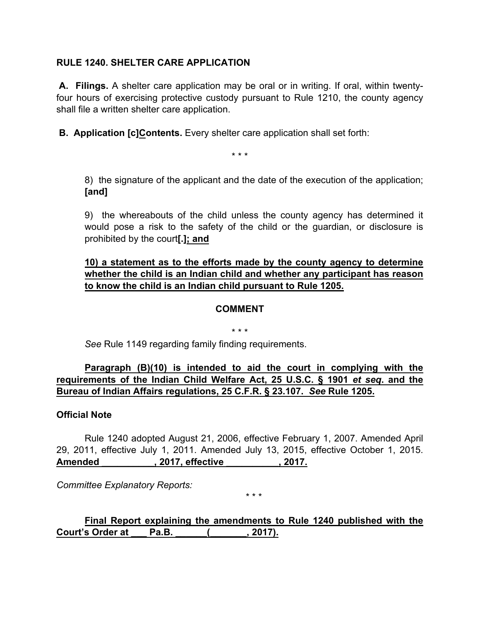## **RULE 1240. SHELTER CARE APPLICATION**

**A. Filings.** A shelter care application may be oral or in writing. If oral, within twentyfour hours of exercising protective custody pursuant to Rule 1210, the county agency shall file a written shelter care application.

**B. Application [c]Contents.** Every shelter care application shall set forth:

\* \* \*

 8) the signature of the applicant and the date of the execution of the application; **[and]**

 9) the whereabouts of the child unless the county agency has determined it would pose a risk to the safety of the child or the guardian, or disclosure is prohibited by the court**[.]; and**

## **10) a statement as to the efforts made by the county agency to determine whether the child is an Indian child and whether any participant has reason to know the child is an Indian child pursuant to Rule 1205.**

### **COMMENT**

\* \* \*

*See* Rule 1149 regarding family finding requirements.

## **Paragraph (B)(10) is intended to aid the court in complying with the requirements of the Indian Child Welfare Act, 25 U.S.C. § 1901** *et seq***. and the Bureau of Indian Affairs regulations, 25 C.F.R. § 23.107.** *See* **Rule 1205.**

### **Official Note**

 Rule 1240 adopted August 21, 2006, effective February 1, 2007. Amended April 29, 2011, effective July 1, 2011. Amended July 13, 2015, effective October 1, 2015. **Amended \_\_\_\_\_\_\_\_\_\_, 2017, effective \_\_\_\_\_\_\_\_\_\_, 2017.**

*Committee Explanatory Reports:*

**Final Report explaining the amendments to Rule 1240 published with the Court's Order at \_\_\_ Pa.B. \_\_\_\_\_\_(\_\_\_\_\_\_\_, 2017).**

\* \* \*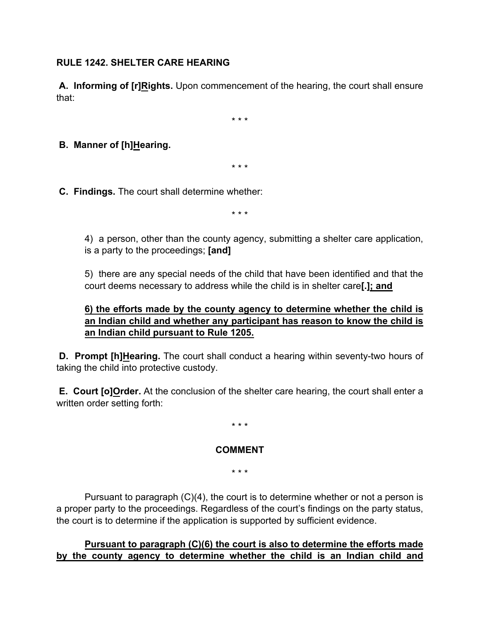## **RULE 1242. SHELTER CARE HEARING**

**A. Informing of [r]Rights.** Upon commencement of the hearing, the court shall ensure that:

\* \* \*

**B. Manner of [h]Hearing.**

\* \* \*

**C. Findings.** The court shall determine whether:

\* \* \*

 4) a person, other than the county agency, submitting a shelter care application, is a party to the proceedings; **[and]**

 5) there are any special needs of the child that have been identified and that the court deems necessary to address while the child is in shelter care**[.]; and**

## **6) the efforts made by the county agency to determine whether the child is an Indian child and whether any participant has reason to know the child is an Indian child pursuant to Rule 1205.**

**D. Prompt [h]Hearing.** The court shall conduct a hearing within seventy-two hours of taking the child into protective custody.

**E. Court [o]Order.** At the conclusion of the shelter care hearing, the court shall enter a written order setting forth:

\* \* \*

### **COMMENT**

\* \* \*

 Pursuant to paragraph (C)(4), the court is to determine whether or not a person is a proper party to the proceedings. Regardless of the court's findings on the party status, the court is to determine if the application is supported by sufficient evidence.

**Pursuant to paragraph (C)(6) the court is also to determine the efforts made by the county agency to determine whether the child is an Indian child and**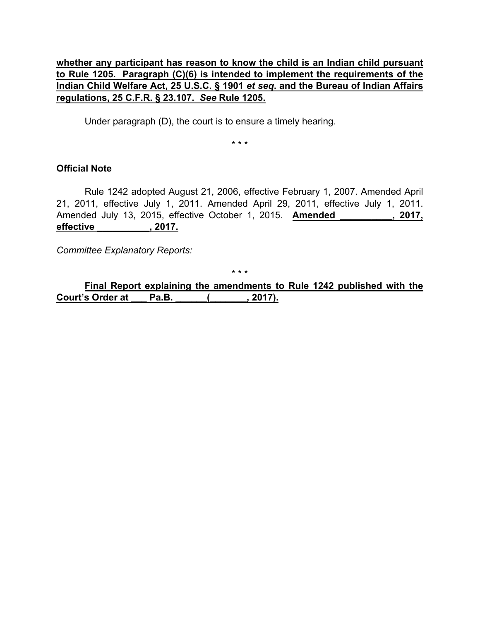## **whether any participant has reason to know the child is an Indian child pursuant to Rule 1205. Paragraph (C)(6) is intended to implement the requirements of the Indian Child Welfare Act, 25 U.S.C. § 1901** *et seq***. and the Bureau of Indian Affairs regulations, 25 C.F.R. § 23.107.** *See* **Rule 1205.**

Under paragraph (D), the court is to ensure a timely hearing.

\* \* \*

### **Official Note**

 Rule 1242 adopted August 21, 2006, effective February 1, 2007. Amended April 21, 2011, effective July 1, 2011. Amended April 29, 2011, effective July 1, 2011. Amended July 13, 2015, effective October 1, 2015. **Amended \_\_\_\_\_\_\_\_\_\_, 2017, effective \_\_\_\_\_\_\_\_\_\_, 2017.**

*Committee Explanatory Reports:*

\* \* \*

**Final Report explaining the amendments to Rule 1242 published with the Court's Order at \_\_\_ Pa.B. \_\_\_\_\_\_(\_\_\_\_\_\_\_, 2017).**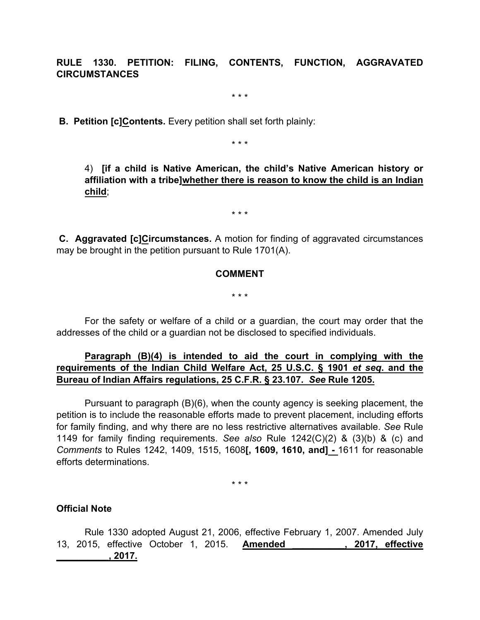**RULE 1330. PETITION: FILING, CONTENTS, FUNCTION, AGGRAVATED CIRCUMSTANCES**

\* \* \*

**B. Petition [c]Contents.** Every petition shall set forth plainly:

\* \* \*

 4) **[if a child is Native American, the child's Native American history or affiliation with a tribe]whether there is reason to know the child is an Indian child**;

\* \* \*

**C. Aggravated [c]Circumstances.** A motion for finding of aggravated circumstances may be brought in the petition pursuant to Rule 1701(A).

### **COMMENT**

\* \* \*

 For the safety or welfare of a child or a guardian, the court may order that the addresses of the child or a guardian not be disclosed to specified individuals.

## **Paragraph (B)(4) is intended to aid the court in complying with the requirements of the Indian Child Welfare Act, 25 U.S.C. § 1901** *et seq***. and the Bureau of Indian Affairs regulations, 25 C.F.R. § 23.107.** *See* **Rule 1205.**

 Pursuant to paragraph (B)(6), when the county agency is seeking placement, the petition is to include the reasonable efforts made to prevent placement, including efforts for family finding, and why there are no less restrictive alternatives available. *See* Rule 1149 for family finding requirements. *See also* Rule 1242(C)(2) & (3)(b) & (c) and *Comments* to Rules 1242, 1409, 1515, 1608**[, 1609, 1610, and] -** 1611 for reasonable efforts determinations.

\* \* \*

### **Official Note**

 Rule 1330 adopted August 21, 2006, effective February 1, 2007. Amended July 13, 2015, effective October 1, 2015. **Amended \_\_\_\_\_\_\_\_\_\_, 2017, effective \_\_\_\_\_\_\_\_\_\_, 2017.**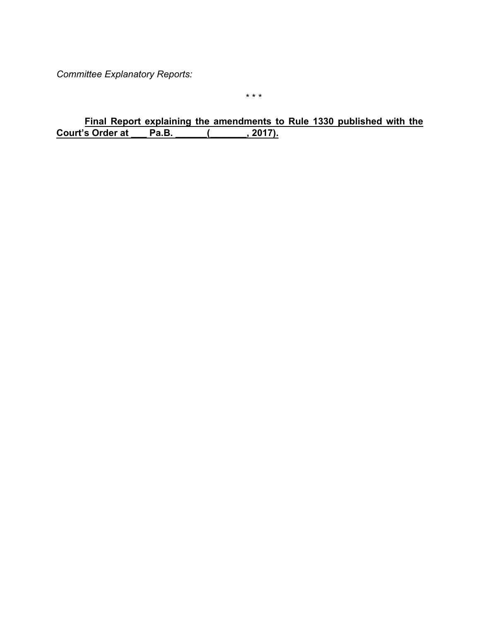*Committee Explanatory Reports:*

\* \* \*

**Final Report explaining the amendments to Rule 1330 published with the**  Court's Order at Pa.B. (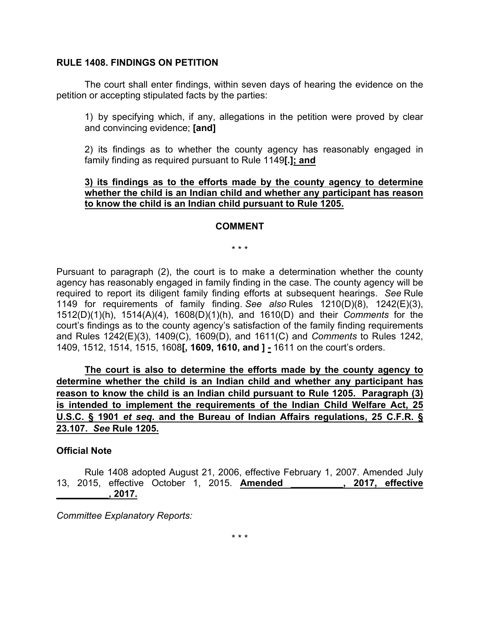#### **RULE 1408. FINDINGS ON PETITION**

The court shall enter findings, within seven days of hearing the evidence on the petition or accepting stipulated facts by the parties:

1) by specifying which, if any, allegations in the petition were proved by clear and convincing evidence; **[and]**

2) its findings as to whether the county agency has reasonably engaged in family finding as required pursuant to Rule 1149**[.]; and**

### **3) its findings as to the efforts made by the county agency to determine whether the child is an Indian child and whether any participant has reason to know the child is an Indian child pursuant to Rule 1205.**

#### **COMMENT**

\* \* \*

Pursuant to paragraph (2), the court is to make a determination whether the county agency has reasonably engaged in family finding in the case. The county agency will be required to report its diligent family finding efforts at subsequent hearings. *See* Rule 1149 for requirements of family finding. *See also* Rules 1210(D)(8), 1242(E)(3), 1512(D)(1)(h), 1514(A)(4), 1608(D)(1)(h), and 1610(D) and their *Comments* for the court's findings as to the county agency's satisfaction of the family finding requirements and Rules 1242(E)(3), 1409(C), 1609(D), and 1611(C) and *Comments* to Rules 1242, 1409, 1512, 1514, 1515, 1608**[, 1609, 1610, and ]** *-* 1611 on the court's orders.

**The court is also to determine the efforts made by the county agency to determine whether the child is an Indian child and whether any participant has reason to know the child is an Indian child pursuant to Rule 1205. Paragraph (3) is intended to implement the requirements of the Indian Child Welfare Act, 25 U.S.C. § 1901** *et seq***. and the Bureau of Indian Affairs regulations, 25 C.F.R. § 23.107.** *See* **Rule 1205.**

#### **Official Note**

Rule 1408 adopted August 21, 2006, effective February 1, 2007. Amended July 13, 2015, effective October 1, 2015. **Amended \_\_\_\_\_\_\_\_\_\_, 2017, effective \_\_\_\_\_\_\_\_\_\_, 2017.**

*Committee Explanatory Reports:*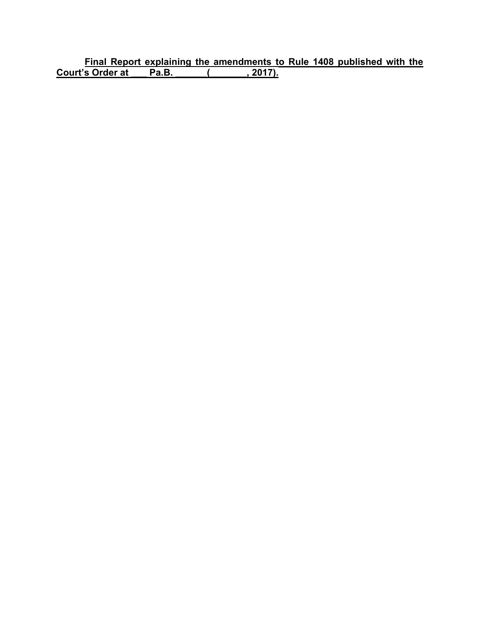**Final Report explaining the amendments to Rule 1408 published with the Court's Order at \_\_\_ Pa.B. \_\_\_\_\_\_(\_\_\_\_\_\_\_, 2017).**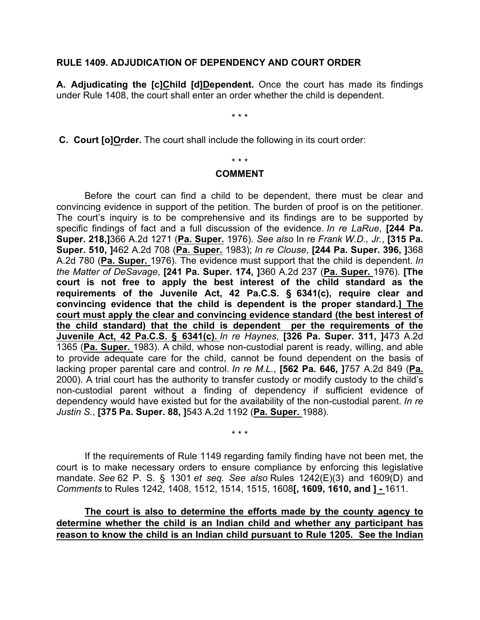#### **RULE 1409. ADJUDICATION OF DEPENDENCY AND COURT ORDER**

**A. Adjudicating the [c]Child [d]Dependent.** Once the court has made its findings under Rule 1408, the court shall enter an order whether the child is dependent.

\* \* \*

**C. Court [o]Order.** The court shall include the following in its court order:

### \* \* \*

#### **COMMENT**

Before the court can find a child to be dependent, there must be clear and convincing evidence in support of the petition. The burden of proof is on the petitioner. The court's inquiry is to be comprehensive and its findings are to be supported by specific findings of fact and a full discussion of the evidence. *In re LaRue*, **[244 Pa. Super. 218,]**366 A.2d 1271 (**Pa. Super.** 1976). *See also* In re *Frank W.D., Jr.*, **[315 Pa. Super. 510, ]**462 A.2d 708 (**Pa. Super.** 1983); *In re Clouse*, **[244 Pa. Super. 396, ]**368 A.2d 780 (**Pa. Super.** 1976). The evidence must support that the child is dependent. *In the Matter of DeSavage*, **[241 Pa. Super. 174, ]**360 A.2d 237 (**Pa. Super.** 1976). **[The court is not free to apply the best interest of the child standard as the requirements of the Juvenile Act, 42 Pa.C.S. § 6341(c), require clear and convincing evidence that the child is dependent is the proper standard.] The court must apply the clear and convincing evidence standard (the best interest of the child standard) that the child is dependent per the requirements of the Juvenile Act, 42 Pa.C.S. § 6341(c).** *In re Haynes*, **[326 Pa. Super. 311, ]**473 A.2d 1365 (**Pa. Super.** 1983). A child, whose non-custodial parent is ready, willing, and able to provide adequate care for the child, cannot be found dependent on the basis of lacking proper parental care and control. *In re M.L.*, **[562 Pa. 646, ]**757 A.2d 849 (**Pa.** 2000). A trial court has the authority to transfer custody or modify custody to the child's non-custodial parent without a finding of dependency if sufficient evidence of dependency would have existed but for the availability of the non-custodial parent. *In re Justin S.*, **[375 Pa. Super. 88, ]**543 A.2d 1192 (**Pa. Super.** 1988).

If the requirements of Rule 1149 regarding family finding have not been met, the court is to make necessary orders to ensure compliance by enforcing this legislative mandate. *See* 62 P. S. § 1301 *et seq. See also* Rules 1242(E)(3) and 1609(D) and *Comments* to Rules 1242, 1408, 1512, 1514, 1515, 1608**[, 1609, 1610, and ] -** 1611.

\* \* \*

**The court is also to determine the efforts made by the county agency to determine whether the child is an Indian child and whether any participant has reason to know the child is an Indian child pursuant to Rule 1205. See the Indian**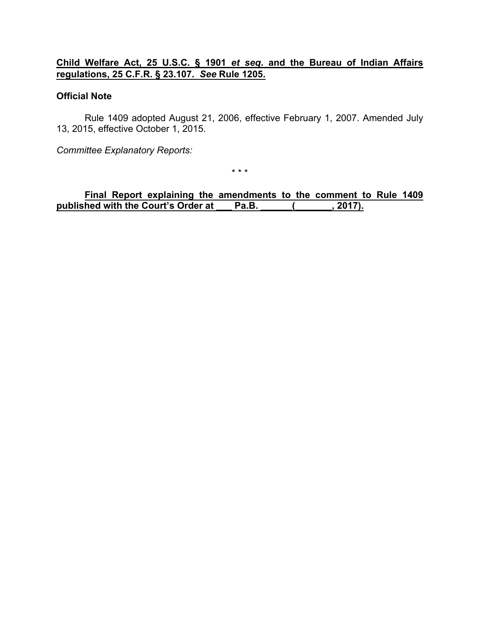## **Child Welfare Act, 25 U.S.C. § 1901** *et seq***. and the Bureau of Indian Affairs regulations, 25 C.F.R. § 23.107.** *See* **Rule 1205.**

### **Official Note**

Rule 1409 adopted August 21, 2006, effective February 1, 2007. Amended July 13, 2015, effective October 1, 2015.

*Committee Explanatory Reports:*

\* \* \*

**Final Report explaining the amendments to the comment to Rule 1409** published with the Court's Order at Pa.B. (1995).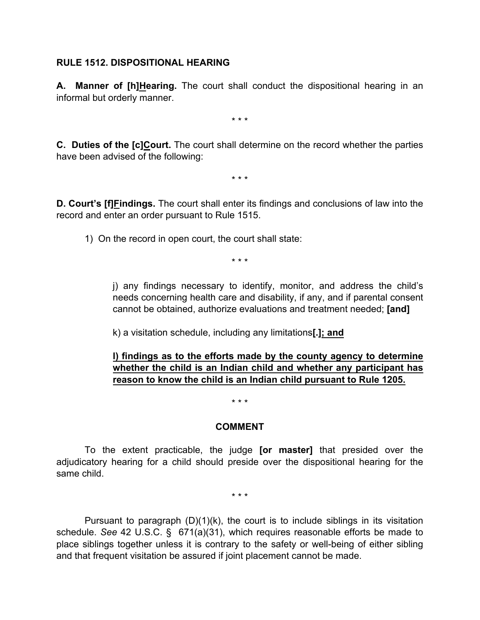### **RULE 1512. DISPOSITIONAL HEARING**

**A. Manner of [h]Hearing.** The court shall conduct the dispositional hearing in an informal but orderly manner.

\* \* \*

**C. Duties of the [c]Court.** The court shall determine on the record whether the parties have been advised of the following:

\* \* \*

**D. Court's [f]Findings.** The court shall enter its findings and conclusions of law into the record and enter an order pursuant to Rule 1515.

1) On the record in open court, the court shall state:

\* \* \*

j) any findings necessary to identify, monitor, and address the child's needs concerning health care and disability, if any, and if parental consent cannot be obtained, authorize evaluations and treatment needed; **[and]**

k) a visitation schedule, including any limitations**[.]; and**

## **l) findings as to the efforts made by the county agency to determine whether the child is an Indian child and whether any participant has reason to know the child is an Indian child pursuant to Rule 1205.**

\* \* \*

### **COMMENT**

To the extent practicable, the judge **[or master]** that presided over the adjudicatory hearing for a child should preside over the dispositional hearing for the same child.

\* \* \*

Pursuant to paragraph  $(D)(1)(k)$ , the court is to include siblings in its visitation schedule. *See* 42 U.S.C. § 671(a)(31), which requires reasonable efforts be made to place siblings together unless it is contrary to the safety or well-being of either sibling and that frequent visitation be assured if joint placement cannot be made.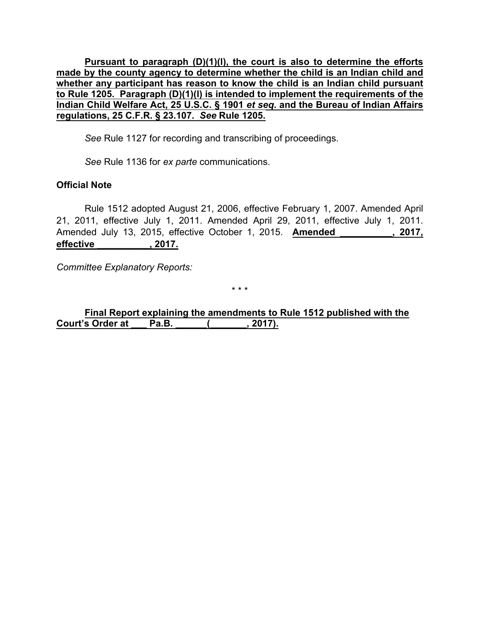**Pursuant to paragraph (D)(1)(l), the court is also to determine the efforts made by the county agency to determine whether the child is an Indian child and whether any participant has reason to know the child is an Indian child pursuant to Rule 1205. Paragraph (D)(1)(l) is intended to implement the requirements of the Indian Child Welfare Act, 25 U.S.C. § 1901** *et seq***. and the Bureau of Indian Affairs regulations, 25 C.F.R. § 23.107.** *See* **Rule 1205.**

*See* Rule 1127 for recording and transcribing of proceedings.

*See* Rule 1136 for *ex parte* communications.

## **Official Note**

Rule 1512 adopted August 21, 2006, effective February 1, 2007. Amended April 21, 2011, effective July 1, 2011. Amended April 29, 2011, effective July 1, 2011. Amended July 13, 2015, effective October 1, 2015. **Amended \_\_\_\_\_\_\_\_\_\_, 2017, effective \_\_\_\_\_\_\_\_\_\_, 2017.**

*Committee Explanatory Reports:*

\* \* \*

**Final Report explaining the amendments to Rule 1512 published with the Court's Order at \_\_\_ Pa.B. \_\_\_\_\_\_(\_\_\_\_\_\_\_, 2017).**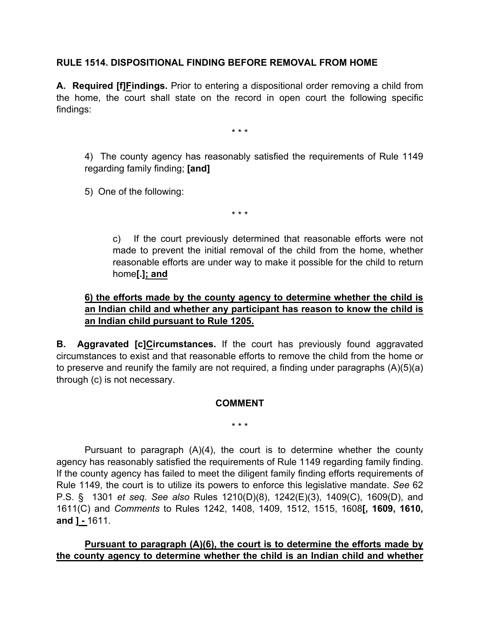## **RULE 1514. DISPOSITIONAL FINDING BEFORE REMOVAL FROM HOME**

**A. Required [f]Findings.** Prior to entering a dispositional order removing a child from the home, the court shall state on the record in open court the following specific findings:

\* \* \*

4) The county agency has reasonably satisfied the requirements of Rule 1149 regarding family finding; **[and]**

5) One of the following:

\* \* \*

c) If the court previously determined that reasonable efforts were not made to prevent the initial removal of the child from the home, whether reasonable efforts are under way to make it possible for the child to return home**[.]; and** 

## **6) the efforts made by the county agency to determine whether the child is an Indian child and whether any participant has reason to know the child is an Indian child pursuant to Rule 1205.**

**B. Aggravated [c]Circumstances.** If the court has previously found aggravated circumstances to exist and that reasonable efforts to remove the child from the home or to preserve and reunify the family are not required, a finding under paragraphs (A)(5)(a) through (c) is not necessary.

### **COMMENT**

\* \* \*

Pursuant to paragraph (A)(4), the court is to determine whether the county agency has reasonably satisfied the requirements of Rule 1149 regarding family finding. If the county agency has failed to meet the diligent family finding efforts requirements of Rule 1149, the court is to utilize its powers to enforce this legislative mandate. *See* 62 P.S. § 1301 *et seq*. *See also* Rules 1210(D)(8), 1242(E)(3), 1409(C), 1609(D), and 1611(C) and *Comments* to Rules 1242, 1408, 1409, 1512, 1515, 1608**[, 1609, 1610, and ] -** 1611.

### **Pursuant to paragraph (A)(6), the court is to determine the efforts made by the county agency to determine whether the child is an Indian child and whether**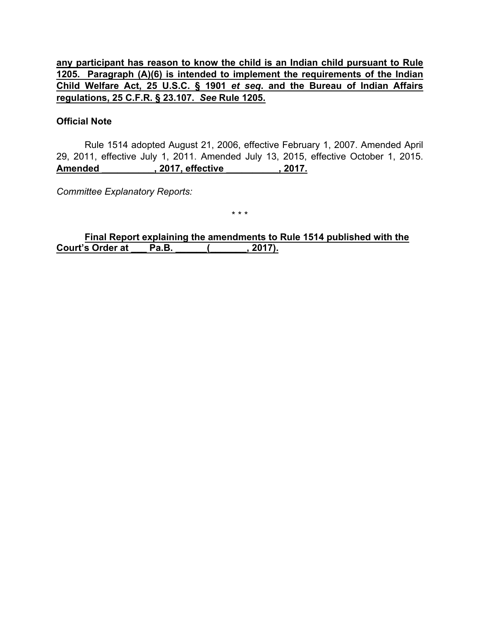**any participant has reason to know the child is an Indian child pursuant to Rule 1205. Paragraph (A)(6) is intended to implement the requirements of the Indian Child Welfare Act, 25 U.S.C. § 1901** *et seq***. and the Bureau of Indian Affairs regulations, 25 C.F.R. § 23.107.** *See* **Rule 1205.**

### **Official Note**

Rule 1514 adopted August 21, 2006, effective February 1, 2007. Amended April 29, 2011, effective July 1, 2011. Amended July 13, 2015, effective October 1, 2015. **Amended \_\_\_\_\_\_\_\_\_\_, 2017, effective \_\_\_\_\_\_\_\_\_\_, 2017.**

*Committee Explanatory Reports:*

\* \* \*

**Final Report explaining the amendments to Rule 1514 published with the Court's Order at \_\_\_ Pa.B. \_\_\_\_\_\_(\_\_\_\_\_\_\_, 2017).**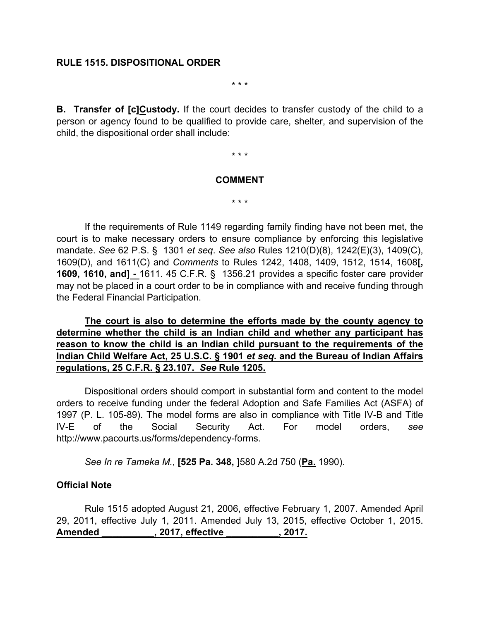### **RULE 1515. DISPOSITIONAL ORDER**

\* \* \*

**B. Transfer of [c]Custody.** If the court decides to transfer custody of the child to a person or agency found to be qualified to provide care, shelter, and supervision of the child, the dispositional order shall include:

\* \* \*

#### **COMMENT**

\* \* \*

If the requirements of Rule 1149 regarding family finding have not been met, the court is to make necessary orders to ensure compliance by enforcing this legislative mandate. *See* 62 P.S. § 1301 *et seq*. *See also* Rules 1210(D)(8), 1242(E)(3), 1409(C), 1609(D), and 1611(C) and *Comments* to Rules 1242, 1408, 1409, 1512, 1514, 1608**[, 1609, 1610, and] -** 1611. 45 C.F.R. § 1356.21 provides a specific foster care provider may not be placed in a court order to be in compliance with and receive funding through the Federal Financial Participation.

**The court is also to determine the efforts made by the county agency to determine whether the child is an Indian child and whether any participant has reason to know the child is an Indian child pursuant to the requirements of the Indian Child Welfare Act, 25 U.S.C. § 1901** *et seq***. and the Bureau of Indian Affairs regulations, 25 C.F.R. § 23.107.** *See* **Rule 1205.**

Dispositional orders should comport in substantial form and content to the model orders to receive funding under the federal Adoption and Safe Families Act (ASFA) of 1997 (P. L. 105-89). The model forms are also in compliance with Title IV-B and Title IV-E of the Social Security Act. For model orders, *see* http://www.pacourts.us/forms/dependency-forms.

*See In re Tameka M.*, **[525 Pa. 348, ]**580 A.2d 750 (**Pa.** 1990).

### **Official Note**

Rule 1515 adopted August 21, 2006, effective February 1, 2007. Amended April 29, 2011, effective July 1, 2011. Amended July 13, 2015, effective October 1, 2015. **Amended \_\_\_\_\_\_\_\_\_\_, 2017, effective \_\_\_\_\_\_\_\_\_\_, 2017.**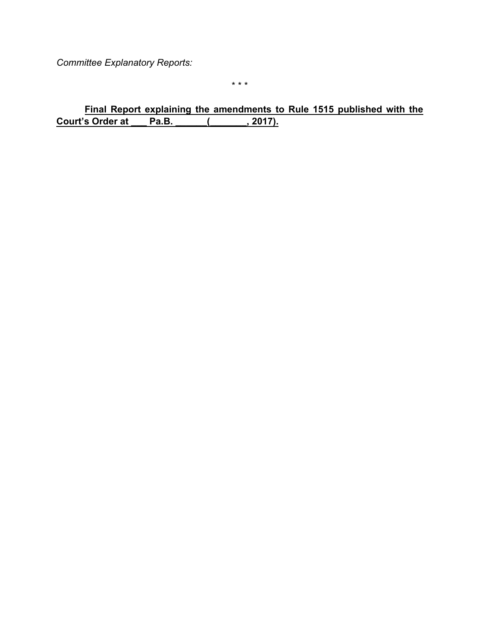*Committee Explanatory Reports:*

\* \* \*

**Final Report explaining the amendments to Rule 1515 published with the Court's Order at Pa.B.** (2017). **Court's Order at \_\_\_ Pa.B. \_\_\_\_\_\_(\_\_\_\_\_\_\_, 2017).**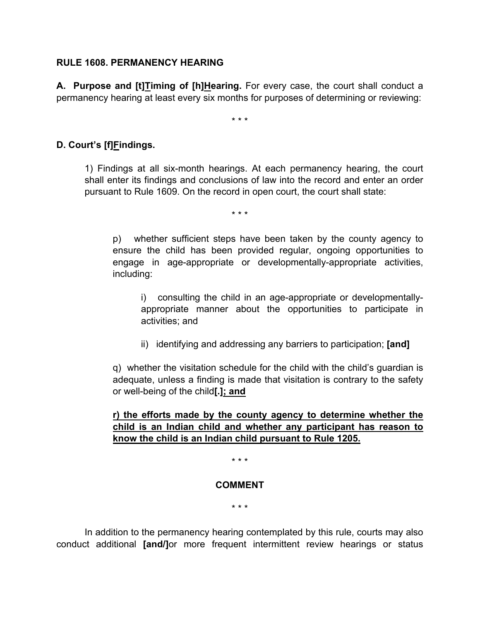### **RULE 1608. PERMANENCY HEARING**

**A. Purpose and [t]Timing of [h]Hearing.** For every case, the court shall conduct a permanency hearing at least every six months for purposes of determining or reviewing:

\* \* \*

## **D. Court's [f]Findings.**

1) Findings at all six-month hearings. At each permanency hearing, the court shall enter its findings and conclusions of law into the record and enter an order pursuant to Rule 1609. On the record in open court, the court shall state:

\* \* \*

p) whether sufficient steps have been taken by the county agency to ensure the child has been provided regular, ongoing opportunities to engage in age-appropriate or developmentally-appropriate activities, including:

i) consulting the child in an age-appropriate or developmentallyappropriate manner about the opportunities to participate in activities; and

ii) identifying and addressing any barriers to participation; **[and]**

q) whether the visitation schedule for the child with the child's guardian is adequate, unless a finding is made that visitation is contrary to the safety or well-being of the child**[.]; and**

## **r) the efforts made by the county agency to determine whether the child is an Indian child and whether any participant has reason to know the child is an Indian child pursuant to Rule 1205.**

\* \* \*

### **COMMENT**

\* \* \*

In addition to the permanency hearing contemplated by this rule, courts may also conduct additional **[and/]**or more frequent intermittent review hearings or status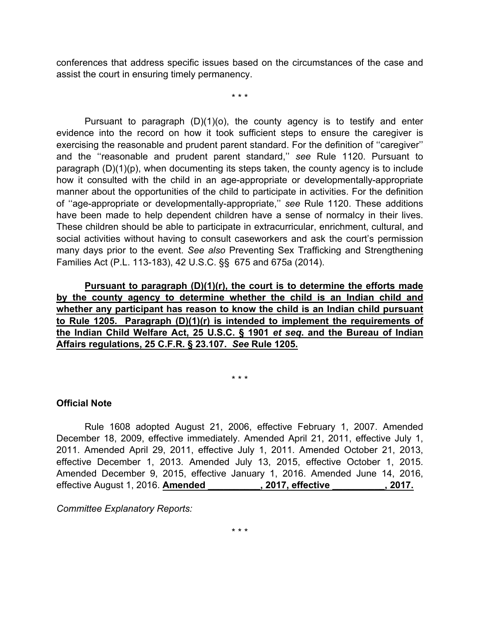conferences that address specific issues based on the circumstances of the case and assist the court in ensuring timely permanency.

\* \* \*

Pursuant to paragraph  $(D)(1)(o)$ , the county agency is to testify and enter evidence into the record on how it took sufficient steps to ensure the caregiver is exercising the reasonable and prudent parent standard. For the definition of ''caregiver'' and the ''reasonable and prudent parent standard,'' *see* Rule 1120. Pursuant to paragraph (D)(1)(p), when documenting its steps taken, the county agency is to include how it consulted with the child in an age-appropriate or developmentally-appropriate manner about the opportunities of the child to participate in activities. For the definition of ''age-appropriate or developmentally-appropriate,'' *see* Rule 1120. These additions have been made to help dependent children have a sense of normalcy in their lives. These children should be able to participate in extracurricular, enrichment, cultural, and social activities without having to consult caseworkers and ask the court's permission many days prior to the event. *See also* Preventing Sex Trafficking and Strengthening Families Act (P.L. 113-183), 42 U.S.C. §§ 675 and 675a (2014).

**Pursuant to paragraph (D)(1)(r), the court is to determine the efforts made by the county agency to determine whether the child is an Indian child and whether any participant has reason to know the child is an Indian child pursuant to Rule 1205. Paragraph (D)(1)(r) is intended to implement the requirements of the Indian Child Welfare Act, 25 U.S.C. § 1901** *et seq***. and the Bureau of Indian Affairs regulations, 25 C.F.R. § 23.107.** *See* **Rule 1205.**

\* \* \*

## **Official Note**

Rule 1608 adopted August 21, 2006, effective February 1, 2007. Amended December 18, 2009, effective immediately. Amended April 21, 2011, effective July 1, 2011. Amended April 29, 2011, effective July 1, 2011. Amended October 21, 2013, effective December 1, 2013. Amended July 13, 2015, effective October 1, 2015. Amended December 9, 2015, effective January 1, 2016. Amended June 14, 2016, effective August 1, 2016. **Amended \_\_\_\_\_\_\_\_\_\_, 2017, effective \_\_\_\_\_\_\_\_\_\_, 2017.**

*Committee Explanatory Reports:*

\* \* \*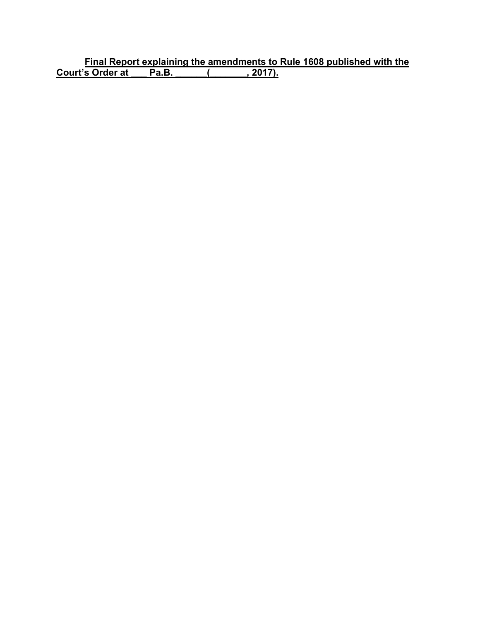**Final Report explaining the amendments to Rule 1608 published with the Court's Order at \_\_\_ Pa.B. \_\_\_\_\_\_(\_\_\_\_\_\_\_, 2017).**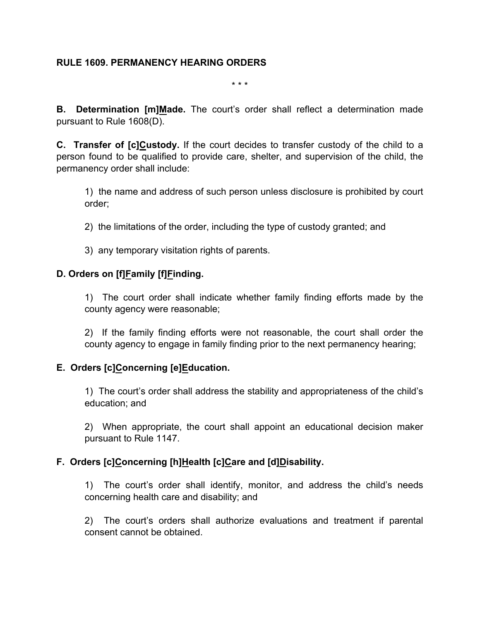## **RULE 1609. PERMANENCY HEARING ORDERS**

\* \* \*

**B. Determination [m]Made.** The court's order shall reflect a determination made pursuant to Rule 1608(D).

**C. Transfer of [c]Custody.** If the court decides to transfer custody of the child to a person found to be qualified to provide care, shelter, and supervision of the child, the permanency order shall include:

1) the name and address of such person unless disclosure is prohibited by court order;

- 2) the limitations of the order, including the type of custody granted; and
- 3) any temporary visitation rights of parents.

## **D. Orders on [f]Family [f]Finding.**

1) The court order shall indicate whether family finding efforts made by the county agency were reasonable;

2) If the family finding efforts were not reasonable, the court shall order the county agency to engage in family finding prior to the next permanency hearing;

## **E. Orders [c]Concerning [e]Education.**

1) The court's order shall address the stability and appropriateness of the child's education; and

2) When appropriate, the court shall appoint an educational decision maker pursuant to Rule 1147.

## **F. Orders [c]Concerning [h]Health [c]Care and [d]Disability.**

1) The court's order shall identify, monitor, and address the child's needs concerning health care and disability; and

2) The court's orders shall authorize evaluations and treatment if parental consent cannot be obtained.